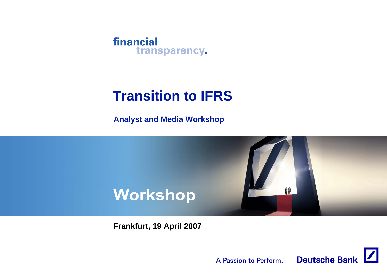

# **Transition to IFRS**

**Analyst and Media Workshop**



**Frankfurt, 19 April 2007**

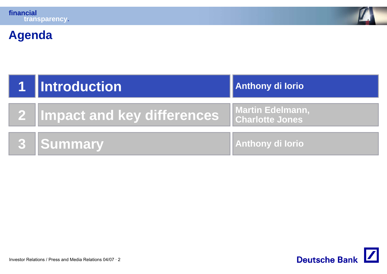

## **Agenda**

| 1 Introduction               | Anthony di lorio                           |
|------------------------------|--------------------------------------------|
| 2 Impact and key differences | Martin Edelmann,<br><b>Charlotte Jones</b> |
| <b>3 Summary</b>             | <b>Anthony di lorio</b>                    |

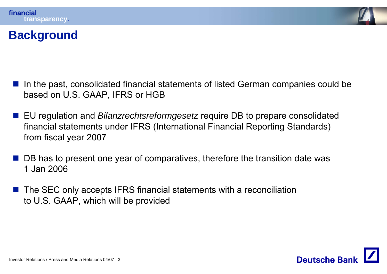

#### **Background**

- $\frac{1}{2}$  In the past, consolidated financial statements of listed German companies could be based on U.S. GAAP, IFRS or HGB
- EU regulation and *Bilanzrechtsreformgesetz* require DB to prepare consolidated financial statements under IFRS (International Financial Reporting Standards) from fiscal year 2007
- DB has to present one year of comparatives, therefore the transition date was 1 Jan 2006
- $\frac{1}{2}$  The SEC only accepts IFRS financial statements with a reconciliation to U.S. GAAP, which will be provided

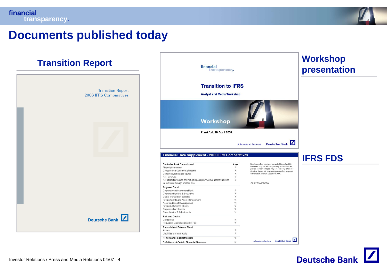

#### **Documents published today**

#### **Transition Report**

| <b>Transition Report</b><br>2006 IFRS Comparatives |
|----------------------------------------------------|
|                                                    |
|                                                    |
| Deutsche Bank                                      |



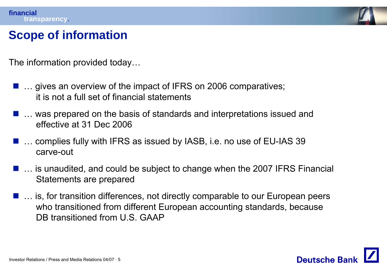

### **Scope of information**

The information provided today…

- ... gives an overview of the impact of IFRS on 2006 comparatives; it is not a full set of financial statements
- … was prepared on the basis of standards and interpretations issued and effective at 31 Dec 2006
- ... complies fully with IFRS as issued by IASB, i.e. no use of EU-IAS 39 carve-out
- ... is unaudited, and could be subject to change when the 2007 IFRS Financial Statements are prepared
- … is, for transition differences, not directly comparable to our European peers who transitioned from different European accounting standards, because DB transitioned from U.S. GAAP

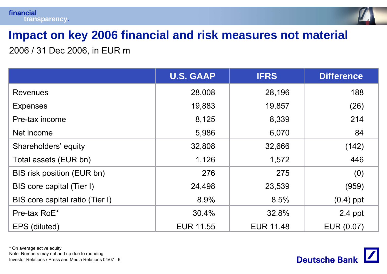

## **Impact on key 2006 financial and risk measures not material**

2006 / 31 Dec 2006, in EUR m

|                                 | <b>U.S. GAAP</b> | <b>IFRS</b>      | <b>Difference</b> |
|---------------------------------|------------------|------------------|-------------------|
| <b>Revenues</b>                 | 28,008           | 28,196           | 188               |
| <b>Expenses</b>                 | 19,883           | 19,857           | (26)              |
| Pre-tax income                  | 8,125            | 8,339            | 214               |
| Net income                      | 5,986            | 6,070            | 84                |
| Shareholders' equity            | 32,808           | 32,666           | (142)             |
| Total assets (EUR bn)           | 1,126            | 1,572            | 446               |
| BIS risk position (EUR bn)      | 276              | 275              | (0)               |
| BIS core capital (Tier I)       | 24,498           | 23,539           | (959)             |
| BIS core capital ratio (Tier I) | 8.9%             | 8.5%             | $(0.4)$ ppt       |
| Pre-tax RoE*                    | 30.4%            | 32.8%            | $2.4$ ppt         |
| EPS (diluted)                   | <b>EUR 11.55</b> | <b>EUR 11.48</b> | EUR (0.07)        |

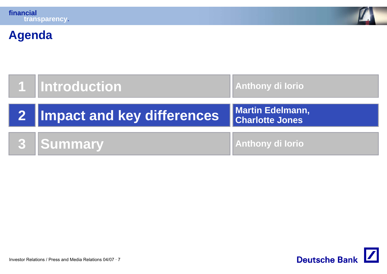

# **Agenda**

| 1 Introduction               | <b>Anthony di lorio</b>             |
|------------------------------|-------------------------------------|
| 2 Impact and key differences | Martin Edelmann,<br>Charlotte Jones |
| <b>3 Summary</b>             | <b>Anthony di lorio</b>             |

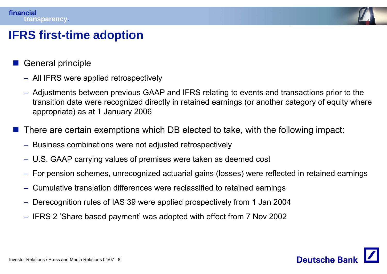

### **IFRS first-time adoption**

- $\frac{1}{2}$  General principle
	- All IFRS were applied retrospectively
	- Adjustments between previous GAAP and IFRS relating to events and transactions prior to the transition date were recognized directly in retained earnings (or another category of equity where appropriate) as at 1 January 2006
- $\frac{1}{2}$  There are certain exemptions which DB elected to take, with the following impact:
	- Business combinations were not adjusted retrospectively
	- U.S. GAAP carrying values of premises were taken as deemed cost
	- For pension schemes, unrecognized actuarial gains (losses) were reflected in retained earnings
	- Cumulative translation differences were reclassified to retained earnings
	- Derecognition rules of IAS 39 were applied prospectively from 1 Jan 2004
	- IFRS 2 'Share based payment' was adopted with effect from 7 Nov 2002

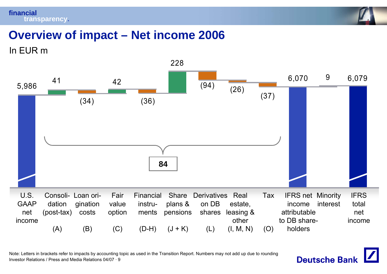#### **financialtransparency.**



### **Overview of impact – Net income 2006**

In EUR m



Investor Relations / Press and Media Relations 04/07 · 9Note: Letters in brackets refer to impacts by accounting topic as used in the Transition Report. Numbers may not add up due to rounding

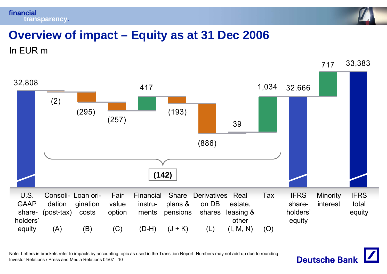



# **Overview of impact – Equity as at 31 Dec 2006**

In EUR m



Investor Relations / Press and Media Relations 04/07 · 10Note: Letters in brackets refer to impacts by accounting topic as used in the Transition Report. Numbers may not add up due to rounding

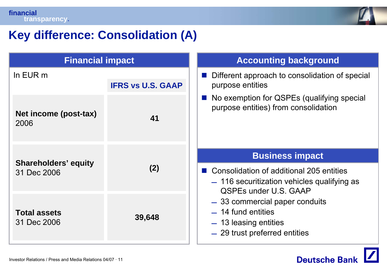

### **Key difference: Consolidation (A)**

| <b>Financial impact</b>                    |                          | <b>Accounting background</b>                                                                                              |
|--------------------------------------------|--------------------------|---------------------------------------------------------------------------------------------------------------------------|
| In $EUR$ m                                 | <b>IFRS vs U.S. GAAP</b> | Different approach to consolidation of special<br>purpose entities                                                        |
| Net income (post-tax)<br>2006              | 41                       | ■ No exemption for QSPEs (qualifying special<br>purpose entities) from consolidation                                      |
|                                            | (2)                      | <b>Business impact</b>                                                                                                    |
| <b>Shareholders' equity</b><br>31 Dec 2006 |                          | ■ Consolidation of additional 205 entities<br>- 116 securitization vehicles qualifying as<br><b>QSPEs under U.S. GAAP</b> |
|                                            |                          | - 33 commercial paper conduits                                                                                            |
| <b>Total assets</b><br>31 Dec 2006         | 39,648                   | $-14$ fund entities<br>$-13$ leasing entities                                                                             |
|                                            |                          | - 29 trust preferred entities                                                                                             |

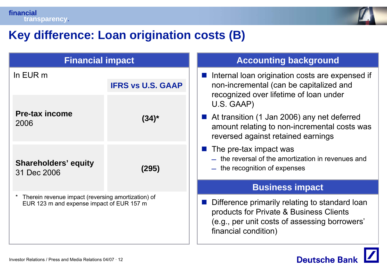

### **Key difference: Loan origination costs (B)**

| <b>Financial impact</b>                            |            | <b>Accounting background</b>                                                                                                                                       |
|----------------------------------------------------|------------|--------------------------------------------------------------------------------------------------------------------------------------------------------------------|
| In EUR m<br><b>IFRS vs U.S. GAAP</b>               |            | Internal loan origination costs are expensed if<br>non-incremental (can be capitalized and<br>recognized over lifetime of loan under                               |
| <b>Pre-tax income</b><br>2006                      | $(34)^{*}$ | U.S. GAAP)<br>At transition (1 Jan 2006) any net deferred<br>amount relating to non-incremental costs was<br>reversed against retained earnings                    |
| <b>Shareholders' equity</b><br>31 Dec 2006         | (295)      | $\blacksquare$ The pre-tax impact was<br>- the reversal of the amortization in revenues and<br>- the recognition of expenses                                       |
| Therein revenue impact (reversing amortization) of |            | <b>Business impact</b>                                                                                                                                             |
| EUR 123 m and expense impact of EUR 157 m          |            | Difference primarily relating to standard loan<br>products for Private & Business Clients<br>(e.g., per unit costs of assessing borrowers'<br>financial condition) |

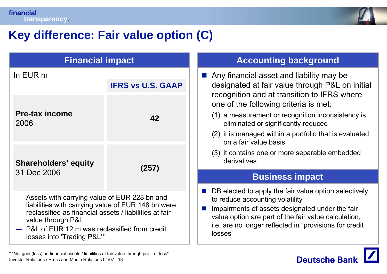

### **Key difference: Fair value option (C)**

| <b>Financial impact</b>                                                                                                                                                                                                                                           | <b>Accounting</b> |                                                                                                                                                     |  |
|-------------------------------------------------------------------------------------------------------------------------------------------------------------------------------------------------------------------------------------------------------------------|-------------------|-----------------------------------------------------------------------------------------------------------------------------------------------------|--|
| In EUR m<br><b>IFRS vs U.S. GAAP</b>                                                                                                                                                                                                                              |                   | Any financial asset a<br>designated at fair val                                                                                                     |  |
| <b>Pre-tax income</b><br>2006                                                                                                                                                                                                                                     | 42                | recognition and at tra<br>one of the following o<br>(1) a measurement or r<br>eliminated or signific                                                |  |
|                                                                                                                                                                                                                                                                   |                   | (2) it is managed within<br>on a fair value basis                                                                                                   |  |
| <b>Shareholders' equity</b>                                                                                                                                                                                                                                       | (257)             | (3) it contains one or m<br>derivatives                                                                                                             |  |
| 31 Dec 2006                                                                                                                                                                                                                                                       |                   | <b>Busines</b>                                                                                                                                      |  |
| - Assets with carrying value of EUR 228 bn and<br>liabilities with carrying value of EUR 148 bn were<br>reclassified as financial assets / liabilities at fair<br>value through P&L<br>P&L of EUR 12 m was reclassified from credit<br>losses into 'Trading P&L'* |                   | DB elected to apply the<br>to reduce accounting vo<br>Impairments of assets of<br>value option are part of<br>i.e. are no longer reflect<br>losses" |  |

Investor Relations / Press and Media Relations 04/07 · 13\* "Net gain (loss) on financial assets / liabilities at fair value through profit or loss"

#### **background**

- and liability may be lue through P&L on initial ansition to IFRS where criteria is met:
	- recognition inconsistency is cantly reduced
	- a portfolio that is evaluated on a fair value basis
	- ore separable embedded

#### **ss impact**

- fair value option selectively blatility
- designated under the fair the fair value calculation, ted in "provisions for credit

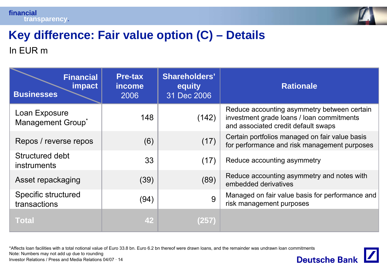



# **Key difference: Fair value option (C) – Details**

In EUR m

| <b>Financial</b><br><i>impact</i><br><b>Businesses</b> | <b>Pre-tax</b><br>income<br>2006 | <b>Shareholders'</b><br>equity<br>31 Dec 2006 | <b>Rationale</b>                                                                                                                |
|--------------------------------------------------------|----------------------------------|-----------------------------------------------|---------------------------------------------------------------------------------------------------------------------------------|
| Loan Exposure<br>Management Group*                     | 148                              | (142)                                         | Reduce accounting asymmetry between certain<br>investment grade loans / loan commitments<br>and associated credit default swaps |
| Repos / reverse repos                                  | (6)                              | (17)                                          | Certain portfolios managed on fair value basis<br>for performance and risk management purposes                                  |
| Structured debt<br><b>instruments</b>                  | 33                               | (17)                                          | Reduce accounting asymmetry                                                                                                     |
| Asset repackaging                                      | (39)                             | (89)                                          | Reduce accounting asymmetry and notes with<br>embedded derivatives                                                              |
| <b>Specific structured</b><br>transactions             | (94)                             | 9                                             | Managed on fair value basis for performance and<br>risk management purposes                                                     |
| <b>Total</b>                                           | 42                               | (257)                                         |                                                                                                                                 |

\*Affects loan facilities with a total notional value of Euro 33.8 bn. Euro 6.2 bn thereof were drawn loans, and the remainder was undrawn loan commitments Note: Numbers may not add up due to rounding**Deutsche Bank** 

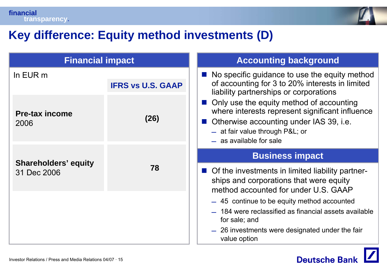

### **Key difference: Equity method investments (D)**

| <b>Financial impact</b>                    |                                                                                                                                                                          | <b>Accounting background</b>                                                                                                                                                                              |
|--------------------------------------------|--------------------------------------------------------------------------------------------------------------------------------------------------------------------------|-----------------------------------------------------------------------------------------------------------------------------------------------------------------------------------------------------------|
| In $EUR$ m                                 | ■ No specific guidance to use the equity method<br>of accounting for 3 to 20% interests in limited<br><b>IFRS vs U.S. GAAP</b><br>liability partnerships or corporations |                                                                                                                                                                                                           |
| <b>Pre-tax income</b><br>2006              | (26)                                                                                                                                                                     | • Only use the equity method of accounting<br>where interests represent significant influence<br>■ Otherwise accounting under IAS 39, i.e.<br>- at fair value through P&L or<br>$-$ as available for sale |
|                                            | 78                                                                                                                                                                       | <b>Business impact</b>                                                                                                                                                                                    |
| <b>Shareholders' equity</b><br>31 Dec 2006 |                                                                                                                                                                          | • Of the investments in limited liability partner-<br>ships and corporations that were equity<br>method accounted for under U.S. GAAP                                                                     |
|                                            |                                                                                                                                                                          | - 45 continue to be equity method accounted                                                                                                                                                               |
|                                            |                                                                                                                                                                          | - 184 were reclassified as financial assets available<br>for sale; and                                                                                                                                    |
|                                            |                                                                                                                                                                          | - 26 investments were designated under the fair<br>value option                                                                                                                                           |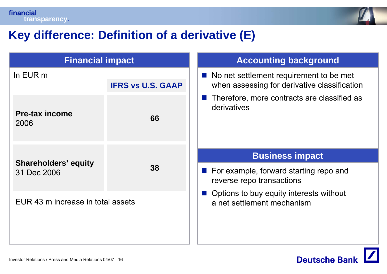

### **Key difference: Definition of a derivative (E)**

| <b>Financial impact</b>                          |    | <b>Accounting background</b>                                                              |
|--------------------------------------------------|----|-------------------------------------------------------------------------------------------|
| In EUR m<br><b>IFRS vs U.S. GAAP</b>             |    | ■ No net settlement requirement to be met<br>when assessing for derivative classification |
| <b>Pre-tax income</b><br>2006                    | 66 | $\blacksquare$ Therefore, more contracts are classified as<br>derivatives                 |
|                                                  |    | <b>Business impact</b>                                                                    |
| <b>Shareholders' equity</b><br>38<br>31 Dec 2006 |    | ■ For example, forward starting repo and<br>reverse repo transactions                     |
| EUR 43 m increase in total assets                |    | Options to buy equity interests without<br>a net settlement mechanism                     |

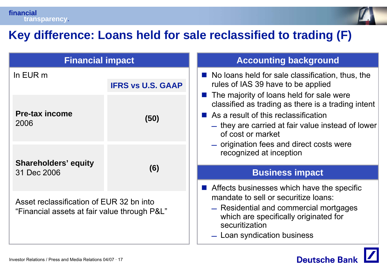

**Deutsche Bank** 

## **Key difference: Loans held for sale reclassified to trading (F)**

| <b>Financial impact</b>                                                                  |                          | <b>Accounting background</b>                                                                                                                                                                                                                                                |  |
|------------------------------------------------------------------------------------------|--------------------------|-----------------------------------------------------------------------------------------------------------------------------------------------------------------------------------------------------------------------------------------------------------------------------|--|
| In EUR m                                                                                 | <b>IFRS vs U.S. GAAP</b> | $\blacksquare$ No loans held for sale classification, thus, the<br>rules of IAS 39 have to be applied                                                                                                                                                                       |  |
| <b>Pre-tax income</b><br>2006                                                            | (50)                     | The majority of loans held for sale were<br>classified as trading as there is a trading intent<br>$\blacksquare$ As a result of this reclassification<br>- they are carried at fair value instead of lower<br>of cost or market<br>- origination fees and direct costs were |  |
| <b>Shareholders' equity</b>                                                              | (6)                      | recognized at inception                                                                                                                                                                                                                                                     |  |
| 31 Dec 2006                                                                              |                          | <b>Business impact</b>                                                                                                                                                                                                                                                      |  |
| Asset reclassification of EUR 32 bn into<br>"Financial assets at fair value through P&L" |                          | $\blacksquare$ Affects businesses which have the specific<br>mandate to sell or securitize loans:<br>- Residential and commercial mortgages<br>which are specifically originated for<br>securitization<br>Loan syndication business                                         |  |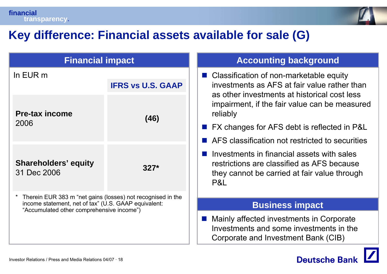

### **Key difference: Financial assets available for sale (G)**

| <b>Financial impact</b>                                                                                                                                          |                                                                                                                   | <b>Accounting background</b>                                                                                                                    |
|------------------------------------------------------------------------------------------------------------------------------------------------------------------|-------------------------------------------------------------------------------------------------------------------|-------------------------------------------------------------------------------------------------------------------------------------------------|
| In EUR m<br><b>IFRS vs U.S. GAAP</b>                                                                                                                             |                                                                                                                   | ■ Classification of non-marketable equity<br>investments as AFS at fair value rather than                                                       |
| <b>Pre-tax income</b>                                                                                                                                            | as other investments at historical cost less<br>impairment, if the fair value can be measured<br>reliably<br>(46) |                                                                                                                                                 |
| 2006                                                                                                                                                             |                                                                                                                   | ■ FX changes for AFS debt is reflected in P&L                                                                                                   |
|                                                                                                                                                                  |                                                                                                                   | AFS classification not restricted to securities                                                                                                 |
| <b>Shareholders' equity</b><br>31 Dec 2006                                                                                                                       | $327*$                                                                                                            | Investments in financial assets with sales<br>restrictions are classified as AFS because<br>they cannot be carried at fair value through<br>P&L |
| Therein EUR 383 m "net gains (losses) not recognised in the<br>income statement, net of tax" (U.S. GAAP equivalent:<br>"Accumulated other comprehensive income") |                                                                                                                   | <b>Business impact</b>                                                                                                                          |
|                                                                                                                                                                  |                                                                                                                   | Mainly affected investments in Corporate<br>Investments and some investments in the<br>Corporate and Investment Bank (CIB)                      |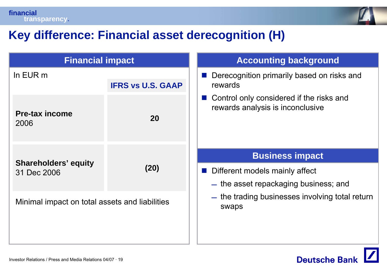

### **Key difference: Financial asset derecognition (H)**

| <b>Financial impact</b>                        |                          | <b>Accounting background</b>                                                                                    |
|------------------------------------------------|--------------------------|-----------------------------------------------------------------------------------------------------------------|
| In EUR m                                       | <b>IFRS vs U.S. GAAP</b> | Derecognition primarily based on risks and<br>rewards                                                           |
| <b>Pre-tax income</b><br>2006                  | <b>20</b>                | ■ Control only considered if the risks and<br>rewards analysis is inconclusive                                  |
| <b>Shareholders' equity</b><br>31 Dec 2006     | (20)                     | <b>Business impact</b><br>Different models mainly affect<br><b>COL</b><br>- the asset repackaging business; and |
| Minimal impact on total assets and liabilities |                          | - the trading businesses involving total return<br>swaps                                                        |

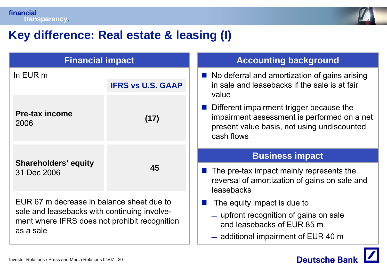

#### **Key difference: Real estate & leasing (I)**

| <b>Financial impact</b>                                                                                    |                          | <b>Accounting background</b>                                                                                                                         |
|------------------------------------------------------------------------------------------------------------|--------------------------|------------------------------------------------------------------------------------------------------------------------------------------------------|
| In EUR m                                                                                                   | <b>IFRS vs U.S. GAAP</b> | ■ No deferral and amortization of gains arising<br>in sale and leasebacks if the sale is at fair<br>value                                            |
| <b>Pre-tax income</b><br>2006                                                                              | (17)                     | Different impairment trigger because the<br>impairment assessment is performed on a net<br>present value basis, not using undiscounted<br>cash flows |
|                                                                                                            |                          |                                                                                                                                                      |
|                                                                                                            |                          | <b>Business impact</b>                                                                                                                               |
| <b>Shareholders' equity</b><br>31 Dec 2006                                                                 | 45                       | $\blacksquare$ The pre-tax impact mainly represents the<br>reversal of amortization of gains on sale and<br>leasebacks                               |
| EUR 67 m decrease in balance sheet due to                                                                  |                          | The equity impact is due to                                                                                                                          |
| sale and leasebacks with continuing involve-<br>ment where IFRS does not prohibit recognition<br>as a sale |                          | - upfront recognition of gains on sale<br>and leasebacks of EUR 85 m                                                                                 |

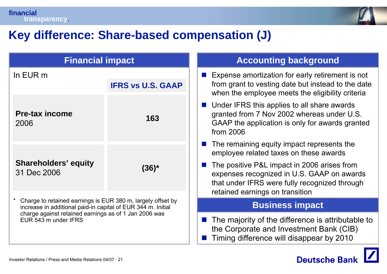

### **Key difference: Share-based compensation (J)**

| <b>Financial impact</b>                                                                                                                                                                                      |                          | <b>Accounting background</b>                                                                                                                                                  |
|--------------------------------------------------------------------------------------------------------------------------------------------------------------------------------------------------------------|--------------------------|-------------------------------------------------------------------------------------------------------------------------------------------------------------------------------|
| In EUR m                                                                                                                                                                                                     | <b>IFRS vs U.S. GAAP</b> | <b>Expense amortization for early retirement is not</b><br>from grant to vesting date but instead to the date<br>when the employee meets the eligibility criteria             |
| <b>Pre-tax income</b><br>2006                                                                                                                                                                                | 163                      | ■ Under IFRS this applies to all share awards<br>granted from 7 Nov 2002 whereas under U.S.<br>GAAP the application is only for awards granted<br>from 2006                   |
|                                                                                                                                                                                                              |                          | The remaining equity impact represents the<br>employee related taxes on these awards                                                                                          |
| <b>Shareholders' equity</b><br>31 Dec 2006                                                                                                                                                                   | $(36)^{*}$               | The positive P&L impact in 2006 arises from<br>expenses recognized in U.S. GAAP on awards<br>that under IFRS were fully recognized through<br>retained earnings on transition |
| Charge to retained earnings is EUR 380 m, largely offset by<br>increase in additional paid-in capital of EUR 344 m. Initial<br>charge against retained earnings as of 1 Jan 2006 was<br>EUR 543 m under IFRS |                          | <b>Business impact</b>                                                                                                                                                        |
|                                                                                                                                                                                                              |                          | The majority of the difference is attributable to<br>the Corporate and Investment Bank (CIB)<br>Timing difference will disappear by 2010                                      |

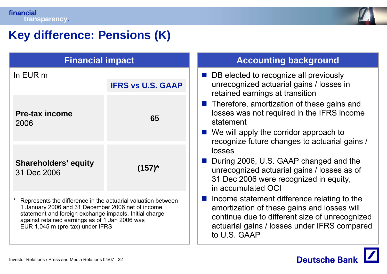

### **Key difference: Pensions (K)**

| <b>Financial impact</b>                                                                                                                                                                                                                                           |                          |  |  |
|-------------------------------------------------------------------------------------------------------------------------------------------------------------------------------------------------------------------------------------------------------------------|--------------------------|--|--|
| In EUR m                                                                                                                                                                                                                                                          |                          |  |  |
|                                                                                                                                                                                                                                                                   | <b>IFRS vs U.S. GAAP</b> |  |  |
| <b>Pre-tax income</b><br>2006                                                                                                                                                                                                                                     | 65                       |  |  |
| <b>Shareholders' equity</b><br>31 Dec 2006                                                                                                                                                                                                                        | $(157)^*$                |  |  |
| Represents the difference in the actuarial valuation between<br>1 January 2006 and 31 December 2006 net of income<br>statement and foreign exchange impacts. Initial charge<br>against retained earnings as of 1 Jan 2006 was<br>EUR 1,045 m (pre-tax) under IFRS |                          |  |  |

#### **Accounting background**

- F DB elected to recognize all previously unrecognized actuarial gains / losses in retained earnings at transition
- **Therefore, amortization of these gains and** losses was not required in the IFRS income statement
- We will apply the corridor approach to recognize future changes to actuarial gains / losses
- F During 2006, U.S. GAAP changed and the unrecognized actuarial gains / losses as of 31 Dec 2006 were recognized in equity, in accumulated OCI
- Income statement difference relating to the amortization of these gains and losses will continue due to different size of unrecognized actuarial gains / losses under IFRS compared to U.S. GAAP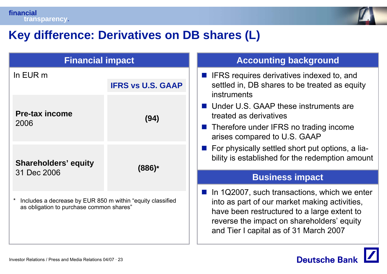

### **Key difference: Derivatives on DB shares (L)**

| <b>Financial impact</b>                                                                                |                          | <b>Accounting background</b>                                                                                                                                                                                                                        |
|--------------------------------------------------------------------------------------------------------|--------------------------|-----------------------------------------------------------------------------------------------------------------------------------------------------------------------------------------------------------------------------------------------------|
| In EUR m                                                                                               | <b>IFRS vs U.S. GAAP</b> | <b>E</b> IFRS requires derivatives indexed to, and<br>settled in, DB shares to be treated as equity<br>instruments                                                                                                                                  |
| <b>Pre-tax income</b><br>2006                                                                          | (94)                     | ■ Under U.S. GAAP these instruments are<br>treated as derivatives<br><b>Therefore under IFRS no trading income</b><br>arises compared to U.S. GAAP                                                                                                  |
| <b>Shareholders' equity</b>                                                                            | $(886)*$                 | $\blacksquare$ For physically settled short put options, a lia-<br>bility is established for the redemption amount                                                                                                                                  |
| 31 Dec 2006                                                                                            |                          | <b>Business impact</b>                                                                                                                                                                                                                              |
| Includes a decrease by EUR 850 m within "equity classified<br>as obligation to purchase common shares" |                          | $\blacksquare$ In 1Q2007, such transactions, which we enter<br>into as part of our market making activities,<br>have been restructured to a large extent to<br>reverse the impact on shareholders' equity<br>and Tier I capital as of 31 March 2007 |

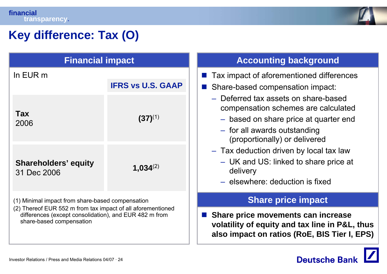

### **Key difference: Tax (O)**

| <b>Financial impact</b>                                                                                                                                                                               |                          | <b>Accounting background</b>                                                                                                                                                          |
|-------------------------------------------------------------------------------------------------------------------------------------------------------------------------------------------------------|--------------------------|---------------------------------------------------------------------------------------------------------------------------------------------------------------------------------------|
| In EUR m                                                                                                                                                                                              | <b>IFRS vs U.S. GAAP</b> | Tax impact of aforementioned differences<br>Share-based compensation impact:                                                                                                          |
| <b>Tax</b><br>2006                                                                                                                                                                                    | $(37)^{(1)}$             | - Deferred tax assets on share-based<br>compensation schemes are calculated<br>- based on share price at quarter end<br>- for all awards outstanding<br>(proportionally) or delivered |
| <b>Shareholders' equity</b><br>31 Dec 2006                                                                                                                                                            | 1,034 $^{(2)}$           | - Tax deduction driven by local tax law<br>- UK and US: linked to share price at<br>delivery<br>- elsewhere: deduction is fixed                                                       |
| (1) Minimal impact from share-based compensation<br>(2) Thereof EUR 552 m from tax impact of all aforementioned<br>differences (except consolidation), and EUR 482 m from<br>share-based compensation |                          | <b>Share price impact</b><br>Share price movements can increase<br>volatility of equity and tax line in P&L, thus<br>also impact on ratios (RoE, BIS Tier I, EPS)                     |

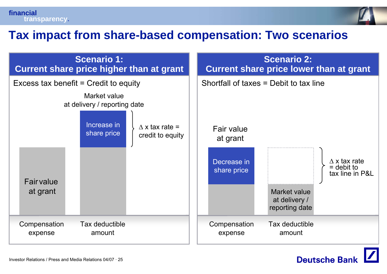

#### **Tax impact from share-based compensation: Two scenarios**

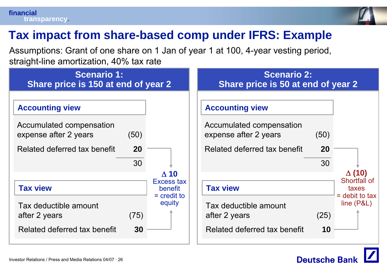

**Deutsche Bank** 

### **Tax impact from share-based comp under IFRS: Example**

Assumptions: Grant of one share on 1 Jan of year 1 at 100, 4-year vesting period, straight-line amortization, 40% tax rate

| <b>Scenario 1:</b><br>Share price is 150 at end of year 2                  |                           | <b>Scenario 2:</b><br>Share price is 50 at end of year 2                   |                              |
|----------------------------------------------------------------------------|---------------------------|----------------------------------------------------------------------------|------------------------------|
| <b>Accounting view</b><br>Accumulated compensation                         |                           | <b>Accounting view</b><br>Accumulated compensation                         |                              |
| expense after 2 years<br>(50)<br><b>20</b><br>Related deferred tax benefit |                           | expense after 2 years<br>(50)<br>Related deferred tax benefit<br><b>20</b> |                              |
| 30                                                                         | $\Delta$ 10<br>Excess tax | 30                                                                         | $\Delta(10)$<br>Shortfall of |
| <b>Tax view</b>                                                            | benefit<br>$=$ credit to  | <b>Tax view</b>                                                            | taxes<br>$=$ debit to tax    |
| Tax deductible amount<br>after 2 years<br>(75)                             | equity                    | Tax deductible amount<br>after 2 years<br>(25)                             | line $(P&L)$                 |
| Related deferred tax benefit<br>30                                         |                           | Related deferred tax benefit<br>10                                         |                              |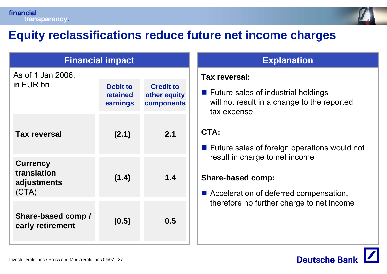

## **Equity reclassifications reduce future net income charges**

| <b>Financial impact</b>                                |                                         |                                                |  |  |
|--------------------------------------------------------|-----------------------------------------|------------------------------------------------|--|--|
| As of 1 Jan 2006,<br>in EUR bn                         | <b>Debit to</b><br>retained<br>earnings | <b>Credit to</b><br>other equity<br>components |  |  |
| <b>Tax reversal</b>                                    | (2.1)                                   | 2.1                                            |  |  |
| <b>Currency</b><br>translation<br>adjustments<br>(CTA) | (1.4)                                   | 1.4                                            |  |  |
| Share-based comp /<br>early retirement                 | (0.5)                                   | 0.5                                            |  |  |

#### **Explanation**

#### **Tax reversal:**

**Future sales of industrial holdings** will not result in a change to the reported tax expense

#### **CTA:**

**Future sales of foreign operations would not** result in charge to net income

#### **Share-based comp:**

■ Acceleration of deferred compensation, therefore no further charge to net income

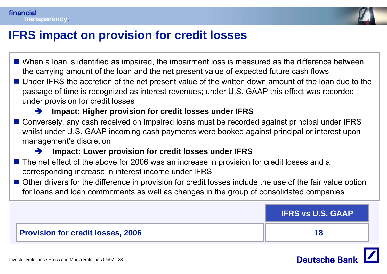

#### **IFRS impact on provision for credit losses**

- When a loan is identified as impaired, the impairment loss is measured as the difference between the carrying amount of the loan and the net present value of expected future cash flows
- **Under IFRS the accretion of the net present value of the written down amount of the loan due to the** passage of time is recognized as interest revenues; under U.S. GAAP this effect was recorded under provision for credit losses

#### $\rightarrow$ **Impact: Higher provision for credit losses under IFRS**

■ Conversely, any cash received on impaired loans must be recorded against principal under IFRS whilst under U.S. GAAP incoming cash payments were booked against principal or interest upon management's discretion

#### Î**Impact: Lower provision for credit losses under IFRS**

- The net effect of the above for 2006 was an increase in provision for credit losses and a corresponding increase in interest income under IFRS
- **Other drivers for the difference in provision for credit losses include the use of the fair value option** for loans and loan commitments as well as changes in the group of consolidated companies

|                                                           | <b>IFRS vs U.S. GAAP</b> |
|-----------------------------------------------------------|--------------------------|
| <b>Provision for credit losses, 2006</b>                  | 18                       |
| Investor Relations / Press and Media Relations 04/07 · 28 | Deutsche Bank            |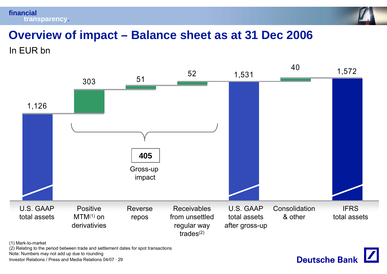



**Deutsche Bank** 

## **Overview of impact – Balance sheet as at 31 Dec 2006**

In EUR bn



(1) Mark-to-market

(2) Relating to the period between trade and settlement dates for spot transactions

Note: Numbers may not add up due to rounding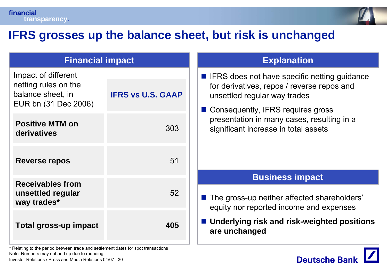

**Deutsche Bank** 

## **IFRS grosses up the balance sheet, but risk is unchanged**

| <b>Financial impact</b>                                                                  |                          | <b>Explanation</b>                                                                                                                                                  |
|------------------------------------------------------------------------------------------|--------------------------|---------------------------------------------------------------------------------------------------------------------------------------------------------------------|
| Impact of different<br>netting rules on the<br>balance sheet, in<br>EUR bn (31 Dec 2006) | <b>IFRS vs U.S. GAAP</b> | ■ IFRS does not have specific netting guidance<br>for derivatives, repos / reverse repos and<br>unsettled regular way trades<br>■ Consequently, IFRS requires gross |
| <b>Positive MTM on</b><br>derivatives                                                    | 303                      | presentation in many cases, resulting in a<br>significant increase in total assets                                                                                  |
| <b>Reverse repos</b>                                                                     | 51                       |                                                                                                                                                                     |
| <b>Receivables from</b>                                                                  |                          | <b>Business impact</b>                                                                                                                                              |
| unsettled regular<br>way trades*                                                         | 52                       | ■ The gross-up neither affected shareholders'<br>equity nor reported income and expenses                                                                            |
| Total gross-up impact                                                                    | 405                      | ■ Underlying risk and risk-weighted positions<br>are unchanged                                                                                                      |

\* Relating to the period between trade and settlement dates for spot transactions Note: Numbers may not add up due to rounding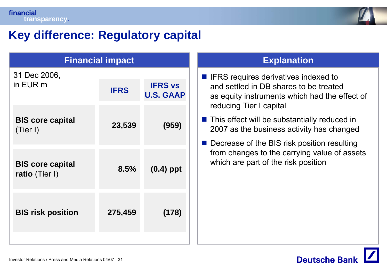

### **Key difference: Regulatory capital**

| <b>Financial impact</b>                   |             |                                    | <b>Explanation</b>                                                                                                                   |
|-------------------------------------------|-------------|------------------------------------|--------------------------------------------------------------------------------------------------------------------------------------|
| 31 Dec 2006,<br>in EUR m                  | <b>IFRS</b> | <b>IFRS vs</b><br><b>U.S. GAAP</b> | ■ IFRS requires derivatives indexed to<br>and settled in DB shares to be treated<br>as equity instruments which had the effect of    |
| <b>BIS core capital</b><br>(Tier I)       | 23,539      | (959)                              | reducing Tier I capital<br>$\blacksquare$ This effect will be substantially reduced in<br>2007 as the business activity has changed  |
| <b>BIS core capital</b><br>ratio (Tier I) | 8.5%        | $(0.4)$ ppt                        | ■ Decrease of the BIS risk position resulting<br>from changes to the carrying value of assets<br>which are part of the risk position |
| <b>BIS risk position</b>                  | 275,459     | (178)                              |                                                                                                                                      |
|                                           |             |                                    |                                                                                                                                      |

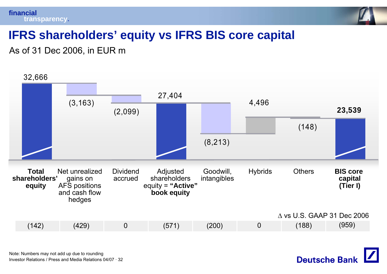



**Deutsche Bank** 

### **IFRS shareholders' equity vs IFRS BIS core capital**

As of 31 Dec 2006, in EUR m



Investor Relations / Press and Media Relations 04/07 · 32Note: Numbers may not add up due to rounding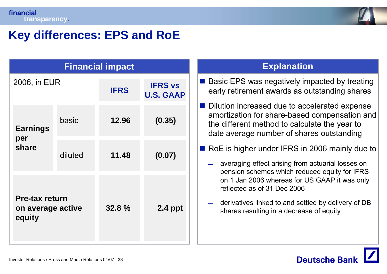

#### **Key differences: EPS and RoE**

| <b>Financial impact</b>                              |         |                                                   |         | <b>Explanation</b>                                                                                                                                                                             |
|------------------------------------------------------|---------|---------------------------------------------------|---------|------------------------------------------------------------------------------------------------------------------------------------------------------------------------------------------------|
| 2006, in EUR                                         |         | <b>IFRS vs</b><br><b>IFRS</b><br><b>U.S. GAAP</b> |         | ■ Basic EPS was negatively impacted by treating<br>early retirement awards as outstanding shares                                                                                               |
| <b>Earnings</b><br>per                               | basic   | 12.96                                             | (0.35)  | ■ Dilution increased due to accelerated expense<br>amortization for share-based compensation and<br>the different method to calculate the year to<br>date average number of shares outstanding |
| share                                                | diluted | 11.48                                             | (0.07)  | RoE is higher under IFRS in 2006 mainly due to<br>averaging effect arising from actuarial losses on<br>pension schemes which reduced equity for IFRS                                           |
| <b>Pre-tax return</b><br>on average active<br>equity |         | 32.8%                                             | 2.4 ppt | on 1 Jan 2006 whereas for US GAAP it was only<br>reflected as of 31 Dec 2006<br>derivatives linked to and settled by delivery of DB<br>shares resulting in a decrease of equity                |

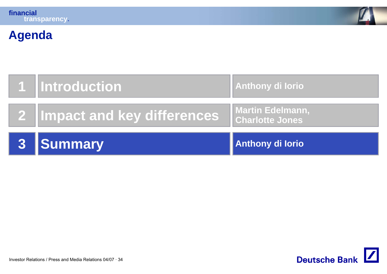

## **Agenda**

| 1 Introduction               | Anthony di lorio                           |
|------------------------------|--------------------------------------------|
| 2 Impact and key differences | Martin Edelmann,<br><b>Charlotte Jones</b> |
| 3 Summary                    | Anthony di lorio                           |

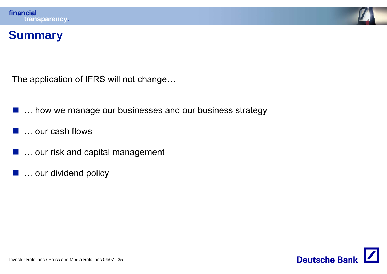

#### **Summary**

The application of IFRS will not change…

- … how we manage our businesses and our business strategy
- … our cash flows
- **E.** ... our risk and capital management
- … our dividend policy

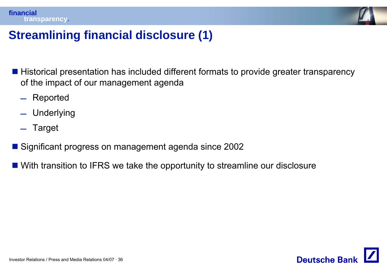

### **Streamlining financial disclosure (1)**

- Historical presentation has included different formats to provide greater transparency of the impact of our management agenda
	- Reported
	- Underlying
	- $\mathcal{L}^{\text{max}}_{\text{max}}$  and  $\mathcal{L}^{\text{max}}_{\text{max}}$  and  $\mathcal{L}^{\text{max}}_{\text{max}}$ Target
- Significant progress on management agenda since 2002
- With transition to IFRS we take the opportunity to streamline our disclosure

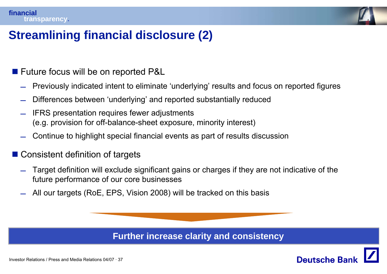

### **Streamlining financial disclosure (2)**

#### **Future focus will be on reported P&L**

- Previously indicated intent to eliminate 'underlying' results and focus on reported figures
- Differences between 'underlying' and reported substantially reduced
- IFRS presentation requires fewer adjustments (e.g. provision for off-balance-sheet exposure, minority interest)
- Continue to highlight special financial events as part of results discussion

#### ■ Consistent definition of targets

- Target definition will exclude significant gains or charges if they are not indicative of the future performance of our core businesses
- All our targets (RoE, EPS, Vision 2008) will be tracked on this basis

#### **Further increase clarity and consistency**

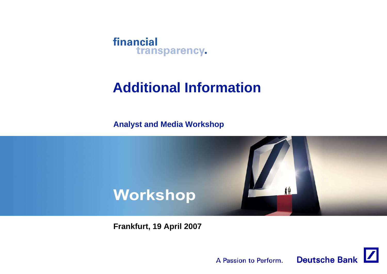

# **Additional Information**

**Analyst and Media Workshop**



**Frankfurt, 19 April 2007**

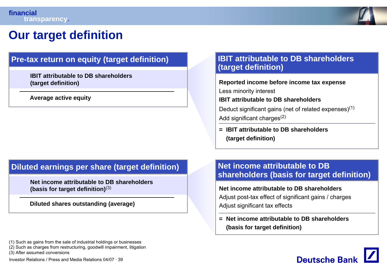

### **Our target definition**

#### **Pre-tax return on equity (target definition)**

**IBIT attributable to DB shareholders(target definition)**

**Average active equity**

#### **Diluted earnings per share (target definition)**

**Net income attributable to DB shareholders (basis for target definition)**(3)

**Diluted shares outstanding (average)**

- (1) Such as gains from the sale of industrial holdings or businesses
- (2) Such as charges from restructuring, goodwill impairment, litigation
- (3) After assumed conversions

Investor Relations / Press and Media Relations 04/07 · 39

#### **IBIT attributable to DB shareholders(target definition)**

#### **Reported income before income tax expense**

Less minority interest

#### **IBIT attributable to DB shareholders**

Deduct significant gains (net of related expenses) $(1)$ Add significant charges(2)

**= IBIT attributable to DB shareholders(target definition)**

#### **Net income attributable to DB shareholders (basis for target definition)**

#### **Net income attributable to DB shareholders**Adjust post-tax effect of significant gains / charges Adjust significant tax effects

**= Net income attributable to DB shareholders (basis for target definition)**

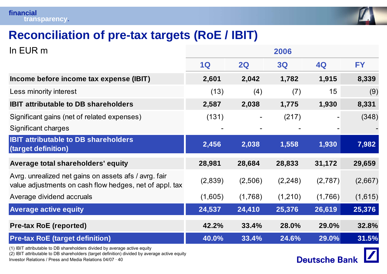

 $\vert \mathbf{Z} \vert$ 

**Deutsche Bank** 

## **Reconciliation of pre-tax targets (RoE / IBIT)**

| In EUR m                                                                                                         | 2006    |         |          |           |           |
|------------------------------------------------------------------------------------------------------------------|---------|---------|----------|-----------|-----------|
|                                                                                                                  | 1Q      | 2Q      | 3Q       | <b>4Q</b> | <b>FY</b> |
| Income before income tax expense (IBIT)                                                                          | 2,601   | 2,042   | 1,782    | 1,915     | 8,339     |
| Less minority interest                                                                                           | (13)    | (4)     | (7)      | 15        | (9)       |
| <b>IBIT attributable to DB shareholders</b>                                                                      | 2,587   | 2,038   | 1,775    | 1,930     | 8,331     |
| Significant gains (net of related expenses)<br>Significant charges                                               | (131)   | Ξ.      | (217)    |           | (348)     |
| <b>IBIT attributable to DB shareholders</b><br>(target definition)                                               | 2,456   | 2,038   | 1,558    | 1,930     | 7,982     |
| Average total shareholders' equity                                                                               | 28,981  | 28,684  | 28,833   | 31,172    | 29,659    |
| Avrg. unrealized net gains on assets afs / avrg. fair<br>value adjustments on cash flow hedges, net of appl. tax | (2,839) | (2,506) | (2, 248) | (2,787)   | (2,667)   |
| Average dividend accruals                                                                                        | (1,605) | (1,768) | (1,210)  | (1,766)   | (1,615)   |
| <b>Average active equity</b>                                                                                     | 24,537  | 24,410  | 25,376   | 26,619    | 25,376    |
| <b>Pre-tax RoE (reported)</b>                                                                                    | 42.2%   | 33.4%   | 28.0%    | 29.0%     | 32.8%     |
| <b>Pre-tax RoE (target definition)</b>                                                                           | 40.0%   | 33.4%   | 24.6%    | 29.0%     | 31.5%     |
| (1) IRIT attribute to DR shareholders divided by everage active equity                                           |         |         |          |           |           |

BIT attributable to DB shareholders divided by average active equity

(2) IBIT attributable to DB shareholders (target definition) divided by average active equity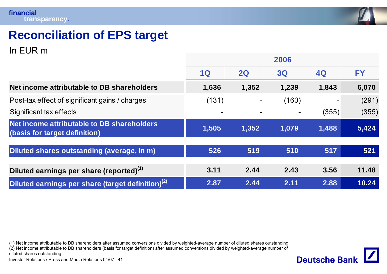

 $\mathbf{Z}$ 

**Deutsche Bank** 

# **Reconciliation of EPS target**

In EUR m

|                                                                             | 2006      |       |       |           |           |
|-----------------------------------------------------------------------------|-----------|-------|-------|-----------|-----------|
|                                                                             | <b>1Q</b> | 2Q    | 3Q    | <b>4Q</b> | <b>FY</b> |
| Net income attributable to DB shareholders                                  | 1,636     | 1,352 | 1,239 | 1,843     | 6,070     |
| Post-tax effect of significant gains / charges                              | (131)     |       | (160) |           | (291)     |
| Significant tax effects                                                     |           |       |       | (355)     | (355)     |
| Net income attributable to DB shareholders<br>(basis for target definition) | 1,505     | 1,352 | 1,079 | 1,488     | 5,424     |
|                                                                             |           |       |       |           |           |
| Diluted shares outstanding (average, in m)                                  | 526       | 519   | 510   | 517       | 521       |
| Diluted earnings per share (reported) <sup>(1)</sup>                        | 3.11      | 2.44  | 2.43  | 3.56      | 11.48     |
| Diluted earnings per share (target definition) <sup>(2)</sup>               | 2.87      | 2.44  | 2.11  | 2.88      | 10.24     |

(1) Net income attributable to DB shareholders after assumed conversions divided by weighted-average number of diluted shares outstanding

(2) Net income attributable to DB shareholders (basis for target definition) after assumed conversions divided by weighted-average number of

diluted shares outstanding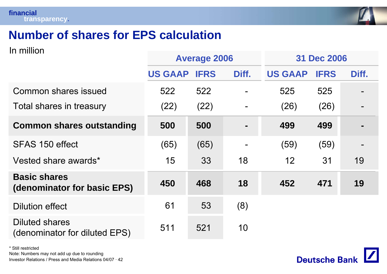In million



#### **Number of shares for EPS calculation**

| 11 11 11 11 1 V 1 1                                    | <b>Average 2006</b> |             |                | <b>31 Dec 2006</b> |             |       |
|--------------------------------------------------------|---------------------|-------------|----------------|--------------------|-------------|-------|
|                                                        | <b>US GAAP</b>      | <b>IFRS</b> | Diff.          | <b>US GAAP</b>     | <b>IFRS</b> | Diff. |
| Common shares issued                                   | 522                 | 522         |                | 525                | 525         |       |
| Total shares in treasury                               | (22)                | (22)        |                | (26)               | (26)        |       |
| <b>Common shares outstanding</b>                       | 500                 | 500         | $\blacksquare$ | 499                | 499         |       |
| SFAS 150 effect                                        | (65)                | (65)        |                | (59)               | (59)        |       |
| Vested share awards*                                   | 15                  | 33          | 18             | 12                 | 31          | 19    |
| <b>Basic shares</b><br>(denominator for basic EPS)     | 450                 | 468         | 18             | 452                | 471         | 19    |
| <b>Dilution effect</b>                                 | 61                  | 53          | (8)            |                    |             |       |
| <b>Diluted shares</b><br>(denominator for diluted EPS) | 511                 | 521         | 10             |                    |             |       |

\* Still restrictedNote: Numbers may not add up due to rounding

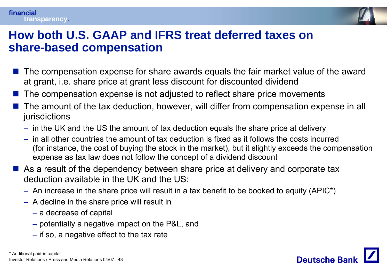

#### **How both U.S. GAAP and IFRS treat deferred taxes on share-based compensation**

- The compensation expense for share awards equals the fair market value of the award at grant, i.e. share price at grant less discount for discounted dividend
- $\frac{1}{2}$ The compensation expense is not adjusted to reflect share price movements
- $\frac{1}{2}$  The amount of the tax deduction, however, will differ from compensation expense in all jurisdictions
	- in the UK and the US the amount of tax deduction equals the share price at delivery
	- in all other countries the amount of tax deduction is fixed as it follows the costs incurred (for instance, the cost of buying the stock in the market), but it slightly exceeds the compensation expense as tax law does not follow the concept of a dividend discount
- As a result of the dependency between share price at delivery and corporate tax deduction available in the UK and the US:
	- An increase in the share price will result in a tax benefit to be booked to equity (APIC\*)
	- A decline in the share price will result in
		- a decrease of capital
		- potentially a negative impact on the P&L, and
		- if so, a negative effect to the tax rate

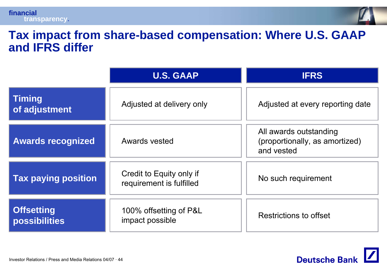



#### **Tax impact from share-based compensation: Where U.S. GAAP and IFRS differ**

|                                           | <b>U.S. GAAP</b>                                     | <b>IFRS</b>                                                            |  |  |
|-------------------------------------------|------------------------------------------------------|------------------------------------------------------------------------|--|--|
| <b>Timing</b><br>of adjustment            | Adjusted at delivery only                            | Adjusted at every reporting date                                       |  |  |
| <b>Awards recognized</b>                  | Awards vested                                        | All awards outstanding<br>(proportionally, as amortized)<br>and vested |  |  |
| <b>Tax paying position</b>                | Credit to Equity only if<br>requirement is fulfilled | No such requirement                                                    |  |  |
| <b>Offsetting</b><br><b>possibilities</b> | 100% offsetting of P&L<br>impact possible            | Restrictions to offset                                                 |  |  |